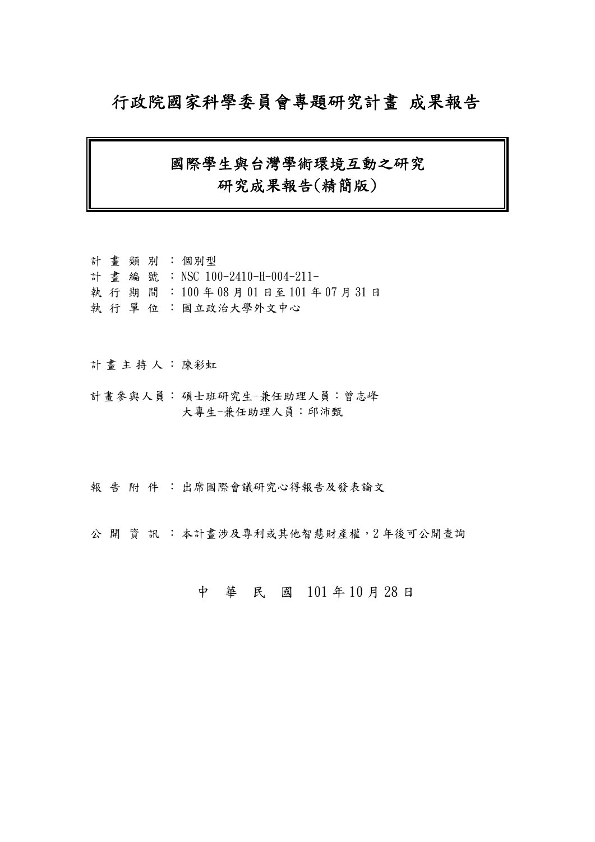## 行政院國家科學委員會專題研究計畫 成果報告

## 國際學生與台灣學術環境互動之研究 研究成果報告(精簡版)

計 畫 類 別 : 個別型 計畫編號: NSC 100-2410-H-004-211- 執 行 期 間 : 100 年 08 月 01 日至 101 年 07 月 31 日 執 行 單 位 :國立政治大學外文中心

計畫主持人: 陳彩虹

- 計畫參與人員: 碩士班研究生-兼任助理人員:曾志峰 大專生-兼任助理人員:邱沛甄
- 報告附件: 出席國際會議研究心得報告及發表論文

公開 資訊 : 本計畫涉及專利或其他智慧財產權, 2年後可公開查詢

## 中 華 民 國 101 年 10 月 28 日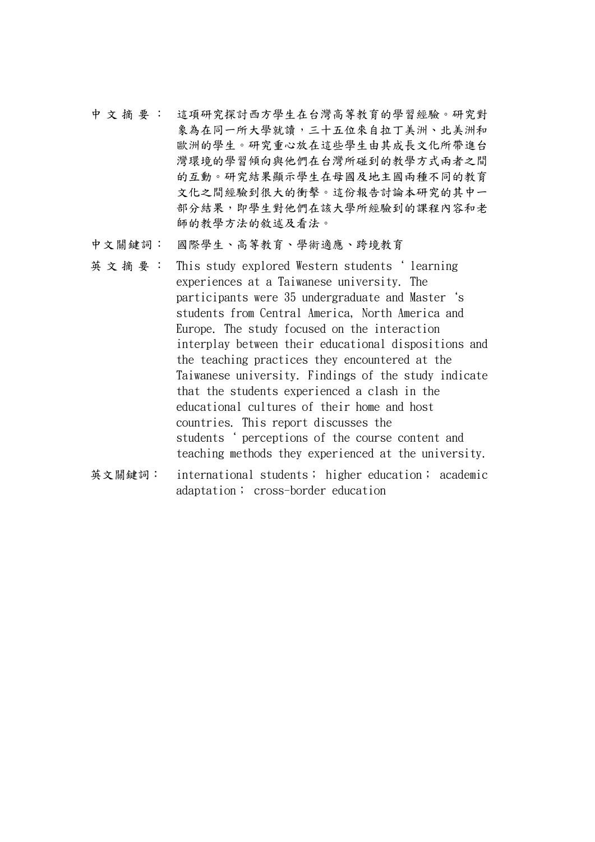- 中 文 摘 要 : 這項研究探討西方學生在台灣高等教育的學習經驗。研究對 象為在同一所大學就讀,三十五位來自拉丁美洲、北美洲和 歐洲的學生。研究重心放在這些學生由其成長文化所帶進台 灣環境的學習傾向與他們在台灣所碰到的教學方式兩者之間 的互動。研究結果顯示學生在母國及地主國兩種不同的教育 文化之間經驗到很大的衝擊。這份報告討論本研究的其中一 部分結果,即學生對他們在該大學所經驗到的課程內容和老 師的教學方法的敘述及看法。
- 中文關鍵詞: 國際學生、高等教育、學術適應、跨境教育
- 英 文 摘 要 : This study explored Western students 'learning experiences at a Taiwanese university. The participants were 35 undergraduate and Master`s students from Central America, North America and Europe. The study focused on the interaction interplay between their educational dispositions and the teaching practices they encountered at the Taiwanese university. Findings of the study indicate that the students experienced a clash in the educational cultures of their home and host countries. This report discusses the students ' perceptions of the course content and teaching methods they experienced at the university.
- 英文關鍵詞: international students; higher education; academic adaptation; cross-border education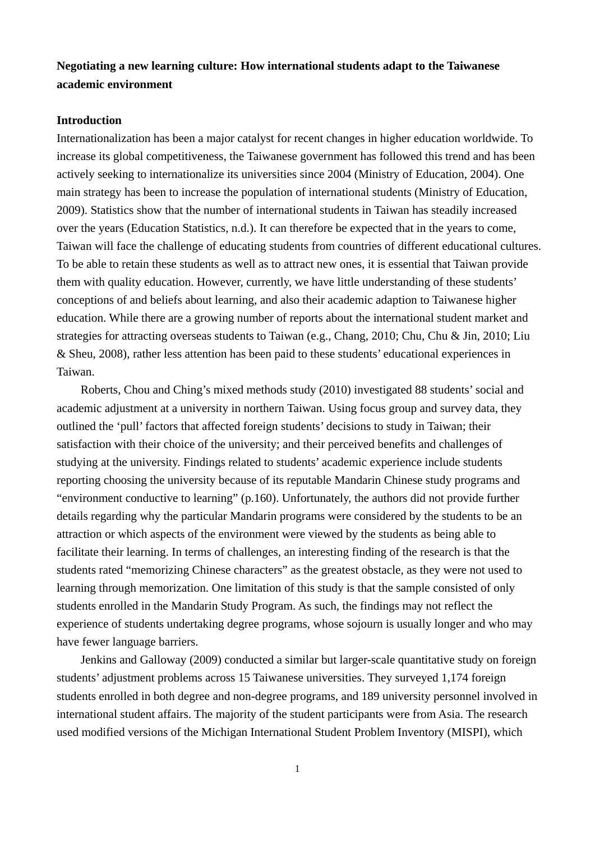## **Negotiating a new learning culture: How international students adapt to the Taiwanese academic environment**

#### **Introduction**

Internationalization has been a major catalyst for recent changes in higher education worldwide. To increase its global competitiveness, the Taiwanese government has followed this trend and has been actively seeking to internationalize its universities since 2004 (Ministry of Education, 2004). One main strategy has been to increase the population of international students (Ministry of Education, 2009). Statistics show that the number of international students in Taiwan has steadily increased over the years (Education Statistics, n.d.). It can therefore be expected that in the years to come, Taiwan will face the challenge of educating students from countries of different educational cultures. To be able to retain these students as well as to attract new ones, it is essential that Taiwan provide them with quality education. However, currently, we have little understanding of these students' conceptions of and beliefs about learning, and also their academic adaption to Taiwanese higher education. While there are a growing number of reports about the international student market and strategies for attracting overseas students to Taiwan (e.g., Chang, 2010; Chu, Chu & Jin, 2010; Liu & Sheu, 2008), rather less attention has been paid to these students' educational experiences in Taiwan.

Roberts, Chou and Ching's mixed methods study (2010) investigated 88 students' social and academic adjustment at a university in northern Taiwan. Using focus group and survey data, they outlined the 'pull' factors that affected foreign students' decisions to study in Taiwan; their satisfaction with their choice of the university; and their perceived benefits and challenges of studying at the university. Findings related to students' academic experience include students reporting choosing the university because of its reputable Mandarin Chinese study programs and "environment conductive to learning" (p.160). Unfortunately, the authors did not provide further details regarding why the particular Mandarin programs were considered by the students to be an attraction or which aspects of the environment were viewed by the students as being able to facilitate their learning. In terms of challenges, an interesting finding of the research is that the students rated "memorizing Chinese characters" as the greatest obstacle, as they were not used to learning through memorization. One limitation of this study is that the sample consisted of only students enrolled in the Mandarin Study Program. As such, the findings may not reflect the experience of students undertaking degree programs, whose sojourn is usually longer and who may have fewer language barriers.

Jenkins and Galloway (2009) conducted a similar but larger-scale quantitative study on foreign students' adjustment problems across 15 Taiwanese universities. They surveyed 1,174 foreign students enrolled in both degree and non-degree programs, and 189 university personnel involved in international student affairs. The majority of the student participants were from Asia. The research used modified versions of the Michigan International Student Problem Inventory (MISPI), which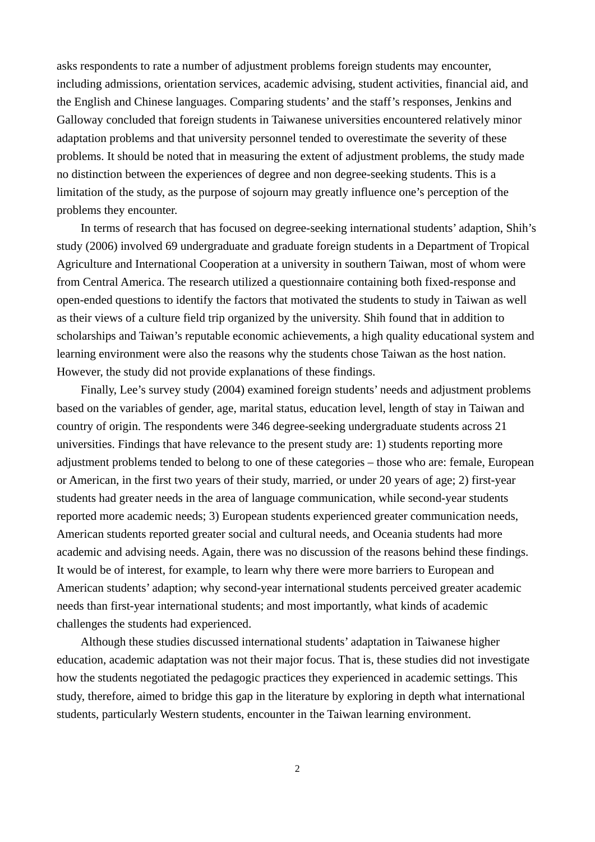asks respondents to rate a number of adjustment problems foreign students may encounter, including admissions, orientation services, academic advising, student activities, financial aid, and the English and Chinese languages. Comparing students' and the staff's responses, Jenkins and Galloway concluded that foreign students in Taiwanese universities encountered relatively minor adaptation problems and that university personnel tended to overestimate the severity of these problems. It should be noted that in measuring the extent of adjustment problems, the study made no distinction between the experiences of degree and non degree-seeking students. This is a limitation of the study, as the purpose of sojourn may greatly influence one's perception of the problems they encounter.

In terms of research that has focused on degree-seeking international students' adaption, Shih's study (2006) involved 69 undergraduate and graduate foreign students in a Department of Tropical Agriculture and International Cooperation at a university in southern Taiwan, most of whom were from Central America. The research utilized a questionnaire containing both fixed-response and open-ended questions to identify the factors that motivated the students to study in Taiwan as well as their views of a culture field trip organized by the university. Shih found that in addition to scholarships and Taiwan's reputable economic achievements, a high quality educational system and learning environment were also the reasons why the students chose Taiwan as the host nation. However, the study did not provide explanations of these findings.

Finally, Lee's survey study (2004) examined foreign students' needs and adjustment problems based on the variables of gender, age, marital status, education level, length of stay in Taiwan and country of origin. The respondents were 346 degree-seeking undergraduate students across 21 universities. Findings that have relevance to the present study are: 1) students reporting more adjustment problems tended to belong to one of these categories – those who are: female, European or American, in the first two years of their study, married, or under 20 years of age; 2) first-year students had greater needs in the area of language communication, while second-year students reported more academic needs; 3) European students experienced greater communication needs, American students reported greater social and cultural needs, and Oceania students had more academic and advising needs. Again, there was no discussion of the reasons behind these findings. It would be of interest, for example, to learn why there were more barriers to European and American students' adaption; why second-year international students perceived greater academic needs than first-year international students; and most importantly, what kinds of academic challenges the students had experienced.

Although these studies discussed international students' adaptation in Taiwanese higher education, academic adaptation was not their major focus. That is, these studies did not investigate how the students negotiated the pedagogic practices they experienced in academic settings. This study, therefore, aimed to bridge this gap in the literature by exploring in depth what international students, particularly Western students, encounter in the Taiwan learning environment.

2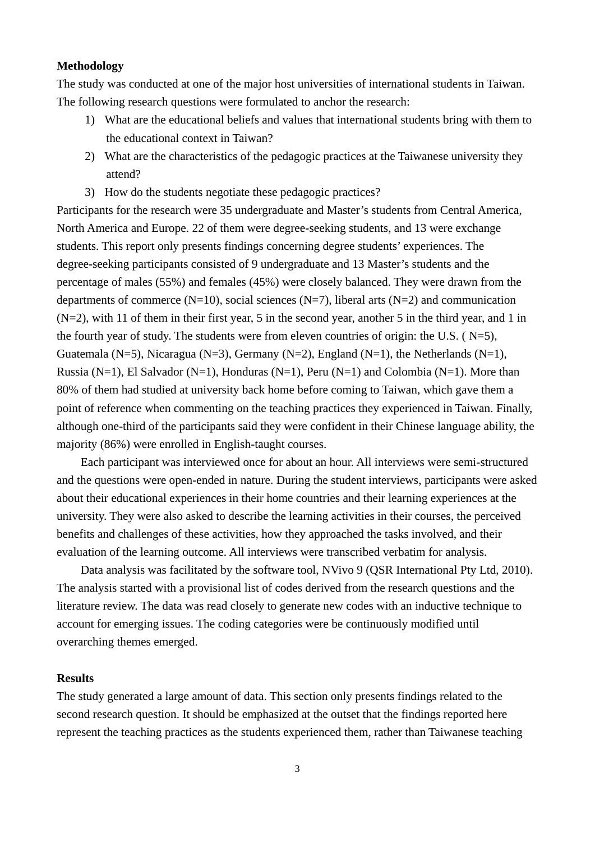#### **Methodology**

The study was conducted at one of the major host universities of international students in Taiwan. The following research questions were formulated to anchor the research:

- 1) What are the educational beliefs and values that international students bring with them to the educational context in Taiwan?
- 2) What are the characteristics of the pedagogic practices at the Taiwanese university they attend?
- 3) How do the students negotiate these pedagogic practices?

Participants for the research were 35 undergraduate and Master's students from Central America, North America and Europe. 22 of them were degree-seeking students, and 13 were exchange students. This report only presents findings concerning degree students' experiences. The degree-seeking participants consisted of 9 undergraduate and 13 Master's students and the percentage of males (55%) and females (45%) were closely balanced. They were drawn from the departments of commerce (N=10), social sciences (N=7), liberal arts (N=2) and communication (N=2), with 11 of them in their first year, 5 in the second year, another 5 in the third year, and 1 in the fourth year of study. The students were from eleven countries of origin: the U.S. ( $N=5$ ), Guatemala (N=5), Nicaragua (N=3), Germany (N=2), England (N=1), the Netherlands (N=1), Russia (N=1), El Salvador (N=1), Honduras (N=1), Peru (N=1) and Colombia (N=1). More than 80% of them had studied at university back home before coming to Taiwan, which gave them a point of reference when commenting on the teaching practices they experienced in Taiwan. Finally, although one-third of the participants said they were confident in their Chinese language ability, the majority (86%) were enrolled in English-taught courses.

Each participant was interviewed once for about an hour. All interviews were semi-structured and the questions were open-ended in nature. During the student interviews, participants were asked about their educational experiences in their home countries and their learning experiences at the university. They were also asked to describe the learning activities in their courses, the perceived benefits and challenges of these activities, how they approached the tasks involved, and their evaluation of the learning outcome. All interviews were transcribed verbatim for analysis.

Data analysis was facilitated by the software tool, NVivo 9 (QSR International Pty Ltd, 2010). The analysis started with a provisional list of codes derived from the research questions and the literature review. The data was read closely to generate new codes with an inductive technique to account for emerging issues. The coding categories were be continuously modified until overarching themes emerged.

#### **Results**

The study generated a large amount of data. This section only presents findings related to the second research question. It should be emphasized at the outset that the findings reported here represent the teaching practices as the students experienced them, rather than Taiwanese teaching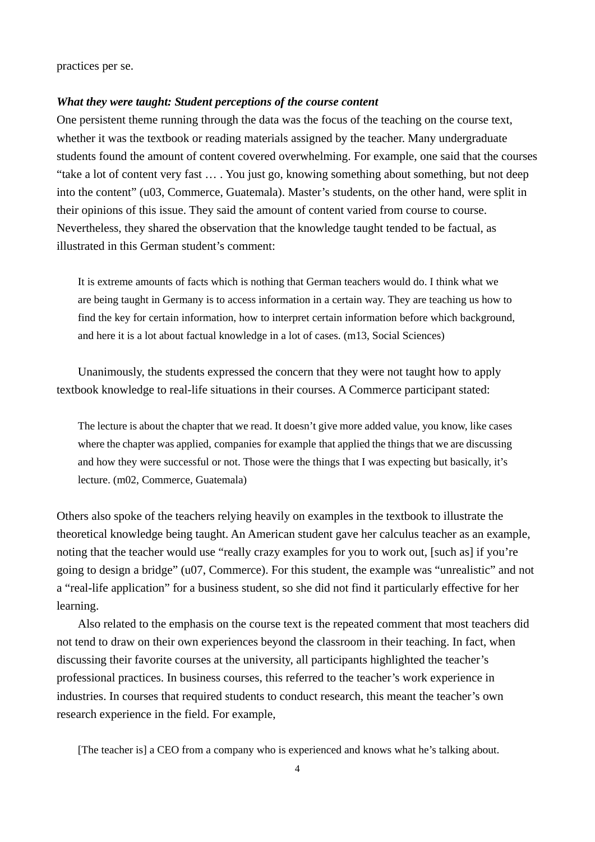practices per se.

#### *What they were taught: Student perceptions of the course content*

One persistent theme running through the data was the focus of the teaching on the course text, whether it was the textbook or reading materials assigned by the teacher. Many undergraduate students found the amount of content covered overwhelming. For example, one said that the courses "take a lot of content very fast … . You just go, knowing something about something, but not deep into the content" (u03, Commerce, Guatemala). Master's students, on the other hand, were split in their opinions of this issue. They said the amount of content varied from course to course. Nevertheless, they shared the observation that the knowledge taught tended to be factual, as illustrated in this German student's comment:

It is extreme amounts of facts which is nothing that German teachers would do. I think what we are being taught in Germany is to access information in a certain way. They are teaching us how to find the key for certain information, how to interpret certain information before which background, and here it is a lot about factual knowledge in a lot of cases. (m13, Social Sciences)

Unanimously, the students expressed the concern that they were not taught how to apply textbook knowledge to real-life situations in their courses. A Commerce participant stated:

The lecture is about the chapter that we read. It doesn't give more added value, you know, like cases where the chapter was applied, companies for example that applied the things that we are discussing and how they were successful or not. Those were the things that I was expecting but basically, it's lecture. (m02, Commerce, Guatemala)

Others also spoke of the teachers relying heavily on examples in the textbook to illustrate the theoretical knowledge being taught. An American student gave her calculus teacher as an example, noting that the teacher would use "really crazy examples for you to work out, [such as] if you're going to design a bridge" (u07, Commerce). For this student, the example was "unrealistic" and not a "real-life application" for a business student, so she did not find it particularly effective for her learning.

Also related to the emphasis on the course text is the repeated comment that most teachers did not tend to draw on their own experiences beyond the classroom in their teaching. In fact, when discussing their favorite courses at the university, all participants highlighted the teacher's professional practices. In business courses, this referred to the teacher's work experience in industries. In courses that required students to conduct research, this meant the teacher's own research experience in the field. For example,

[The teacher is] a CEO from a company who is experienced and knows what he's talking about.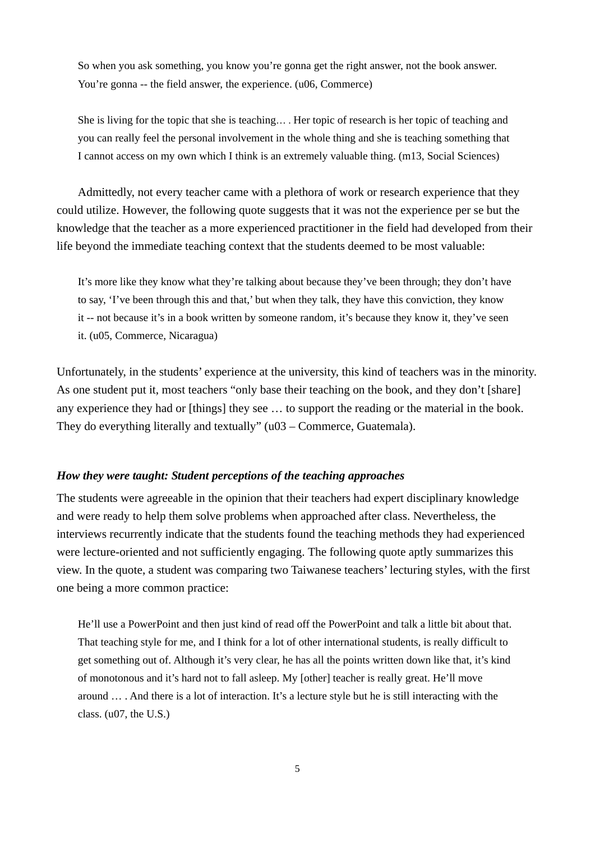So when you ask something, you know you're gonna get the right answer, not the book answer. You're gonna -- the field answer, the experience. (u06, Commerce)

She is living for the topic that she is teaching… . Her topic of research is her topic of teaching and you can really feel the personal involvement in the whole thing and she is teaching something that I cannot access on my own which I think is an extremely valuable thing. (m13, Social Sciences)

Admittedly, not every teacher came with a plethora of work or research experience that they could utilize. However, the following quote suggests that it was not the experience per se but the knowledge that the teacher as a more experienced practitioner in the field had developed from their life beyond the immediate teaching context that the students deemed to be most valuable:

It's more like they know what they're talking about because they've been through; they don't have to say, 'I've been through this and that,' but when they talk, they have this conviction, they know it -- not because it's in a book written by someone random, it's because they know it, they've seen it. (u05, Commerce, Nicaragua)

Unfortunately, in the students' experience at the university, this kind of teachers was in the minority. As one student put it, most teachers "only base their teaching on the book, and they don't [share] any experience they had or [things] they see … to support the reading or the material in the book. They do everything literally and textually" (u03 – Commerce, Guatemala).

#### *How they were taught: Student perceptions of the teaching approaches*

The students were agreeable in the opinion that their teachers had expert disciplinary knowledge and were ready to help them solve problems when approached after class. Nevertheless, the interviews recurrently indicate that the students found the teaching methods they had experienced were lecture-oriented and not sufficiently engaging. The following quote aptly summarizes this view. In the quote, a student was comparing two Taiwanese teachers' lecturing styles, with the first one being a more common practice:

He'll use a PowerPoint and then just kind of read off the PowerPoint and talk a little bit about that. That teaching style for me, and I think for a lot of other international students, is really difficult to get something out of. Although it's very clear, he has all the points written down like that, it's kind of monotonous and it's hard not to fall asleep. My [other] teacher is really great. He'll move around … . And there is a lot of interaction. It's a lecture style but he is still interacting with the class. (u07, the U.S.)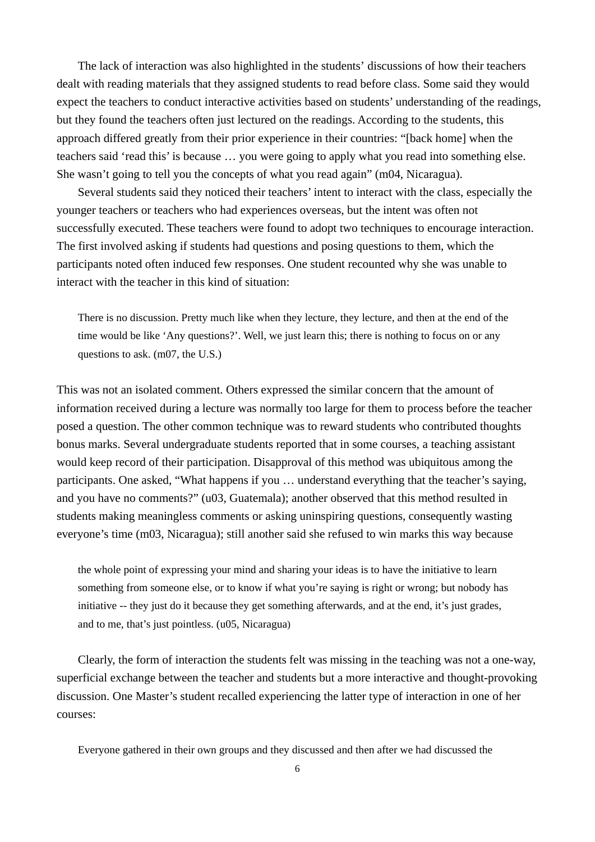The lack of interaction was also highlighted in the students' discussions of how their teachers dealt with reading materials that they assigned students to read before class. Some said they would expect the teachers to conduct interactive activities based on students' understanding of the readings, but they found the teachers often just lectured on the readings. According to the students, this approach differed greatly from their prior experience in their countries: "[back home] when the teachers said 'read this' is because … you were going to apply what you read into something else. She wasn't going to tell you the concepts of what you read again" (m04, Nicaragua).

Several students said they noticed their teachers' intent to interact with the class, especially the younger teachers or teachers who had experiences overseas, but the intent was often not successfully executed. These teachers were found to adopt two techniques to encourage interaction. The first involved asking if students had questions and posing questions to them, which the participants noted often induced few responses. One student recounted why she was unable to interact with the teacher in this kind of situation:

There is no discussion. Pretty much like when they lecture, they lecture, and then at the end of the time would be like 'Any questions?'. Well, we just learn this; there is nothing to focus on or any questions to ask. (m07, the U.S.)

This was not an isolated comment. Others expressed the similar concern that the amount of information received during a lecture was normally too large for them to process before the teacher posed a question. The other common technique was to reward students who contributed thoughts bonus marks. Several undergraduate students reported that in some courses, a teaching assistant would keep record of their participation. Disapproval of this method was ubiquitous among the participants. One asked, "What happens if you … understand everything that the teacher's saying, and you have no comments?" (u03, Guatemala); another observed that this method resulted in students making meaningless comments or asking uninspiring questions, consequently wasting everyone's time (m03, Nicaragua); still another said she refused to win marks this way because

the whole point of expressing your mind and sharing your ideas is to have the initiative to learn something from someone else, or to know if what you're saying is right or wrong; but nobody has initiative -- they just do it because they get something afterwards, and at the end, it's just grades, and to me, that's just pointless. (u05, Nicaragua)

Clearly, the form of interaction the students felt was missing in the teaching was not a one-way, superficial exchange between the teacher and students but a more interactive and thought-provoking discussion. One Master's student recalled experiencing the latter type of interaction in one of her courses:

Everyone gathered in their own groups and they discussed and then after we had discussed the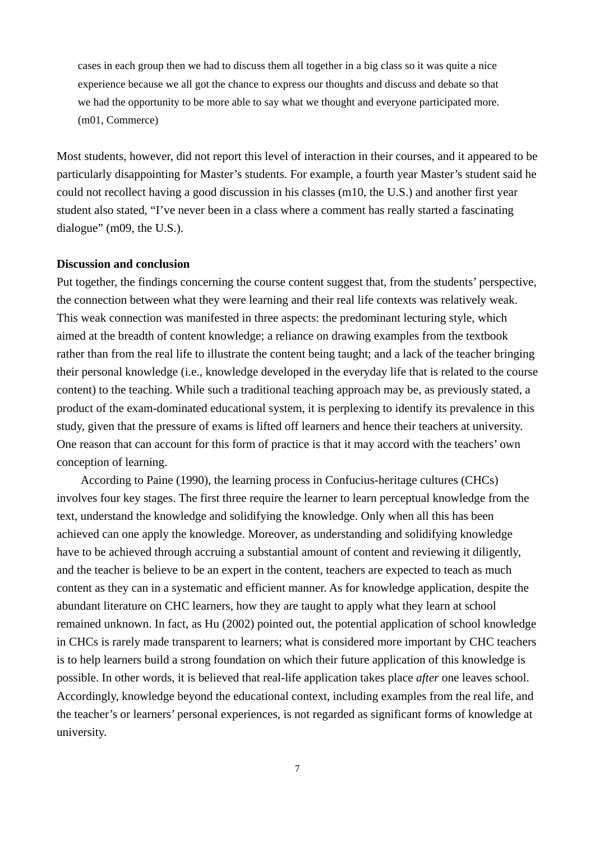cases in each group then we had to discuss them all together in a big class so it was quite a nice experience because we all got the chance to express our thoughts and discuss and debate so that we had the opportunity to be more able to say what we thought and everyone participated more. (m01, Commerce)

Most students, however, did not report this level of interaction in their courses, and it appeared to be particularly disappointing for Master's students. For example, a fourth year Master's student said he could not recollect having a good discussion in his classes (m10, the U.S.) and another first year student also stated, "I've never been in a class where a comment has really started a fascinating dialogue" (m09, the U.S.).

#### **Discussion and conclusion**

Put together, the findings concerning the course content suggest that, from the students' perspective, the connection between what they were learning and their real life contexts was relatively weak. This weak connection was manifested in three aspects: the predominant lecturing style, which aimed at the breadth of content knowledge; a reliance on drawing examples from the textbook rather than from the real life to illustrate the content being taught; and a lack of the teacher bringing their personal knowledge (i.e., knowledge developed in the everyday life that is related to the course content) to the teaching. While such a traditional teaching approach may be, as previously stated, a product of the exam-dominated educational system, it is perplexing to identify its prevalence in this study, given that the pressure of exams is lifted off learners and hence their teachers at university. One reason that can account for this form of practice is that it may accord with the teachers' own conception of learning.

According to Paine (1990), the learning process in Confucius-heritage cultures (CHCs) involves four key stages. The first three require the learner to learn perceptual knowledge from the text, understand the knowledge and solidifying the knowledge. Only when all this has been achieved can one apply the knowledge. Moreover, as understanding and solidifying knowledge have to be achieved through accruing a substantial amount of content and reviewing it diligently, and the teacher is believe to be an expert in the content, teachers are expected to teach as much content as they can in a systematic and efficient manner. As for knowledge application, despite the abundant literature on CHC learners, how they are taught to apply what they learn at school remained unknown. In fact, as Hu (2002) pointed out, the potential application of school knowledge in CHCs is rarely made transparent to learners; what is considered more important by CHC teachers is to help learners build a strong foundation on which their future application of this knowledge is possible. In other words, it is believed that real-life application takes place *after* one leaves school. Accordingly, knowledge beyond the educational context, including examples from the real life, and the teacher's or learners' personal experiences, is not regarded as significant forms of knowledge at university.

7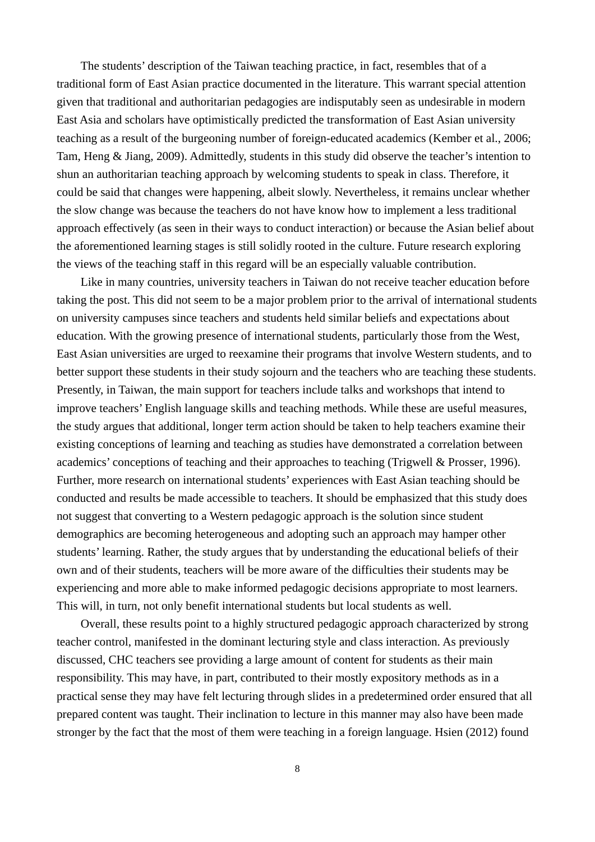The students' description of the Taiwan teaching practice, in fact, resembles that of a traditional form of East Asian practice documented in the literature. This warrant special attention given that traditional and authoritarian pedagogies are indisputably seen as undesirable in modern East Asia and scholars have optimistically predicted the transformation of East Asian university teaching as a result of the burgeoning number of foreign-educated academics (Kember et al., 2006; Tam, Heng & Jiang, 2009). Admittedly, students in this study did observe the teacher's intention to shun an authoritarian teaching approach by welcoming students to speak in class. Therefore, it could be said that changes were happening, albeit slowly. Nevertheless, it remains unclear whether the slow change was because the teachers do not have know how to implement a less traditional approach effectively (as seen in their ways to conduct interaction) or because the Asian belief about the aforementioned learning stages is still solidly rooted in the culture. Future research exploring the views of the teaching staff in this regard will be an especially valuable contribution.

Like in many countries, university teachers in Taiwan do not receive teacher education before taking the post. This did not seem to be a major problem prior to the arrival of international students on university campuses since teachers and students held similar beliefs and expectations about education. With the growing presence of international students, particularly those from the West, East Asian universities are urged to reexamine their programs that involve Western students, and to better support these students in their study sojourn and the teachers who are teaching these students. Presently, in Taiwan, the main support for teachers include talks and workshops that intend to improve teachers' English language skills and teaching methods. While these are useful measures, the study argues that additional, longer term action should be taken to help teachers examine their existing conceptions of learning and teaching as studies have demonstrated a correlation between academics' conceptions of teaching and their approaches to teaching (Trigwell & Prosser, 1996). Further, more research on international students' experiences with East Asian teaching should be conducted and results be made accessible to teachers. It should be emphasized that this study does not suggest that converting to a Western pedagogic approach is the solution since student demographics are becoming heterogeneous and adopting such an approach may hamper other students' learning. Rather, the study argues that by understanding the educational beliefs of their own and of their students, teachers will be more aware of the difficulties their students may be experiencing and more able to make informed pedagogic decisions appropriate to most learners. This will, in turn, not only benefit international students but local students as well.

Overall, these results point to a highly structured pedagogic approach characterized by strong teacher control, manifested in the dominant lecturing style and class interaction. As previously discussed, CHC teachers see providing a large amount of content for students as their main responsibility. This may have, in part, contributed to their mostly expository methods as in a practical sense they may have felt lecturing through slides in a predetermined order ensured that all prepared content was taught. Their inclination to lecture in this manner may also have been made stronger by the fact that the most of them were teaching in a foreign language. Hsien (2012) found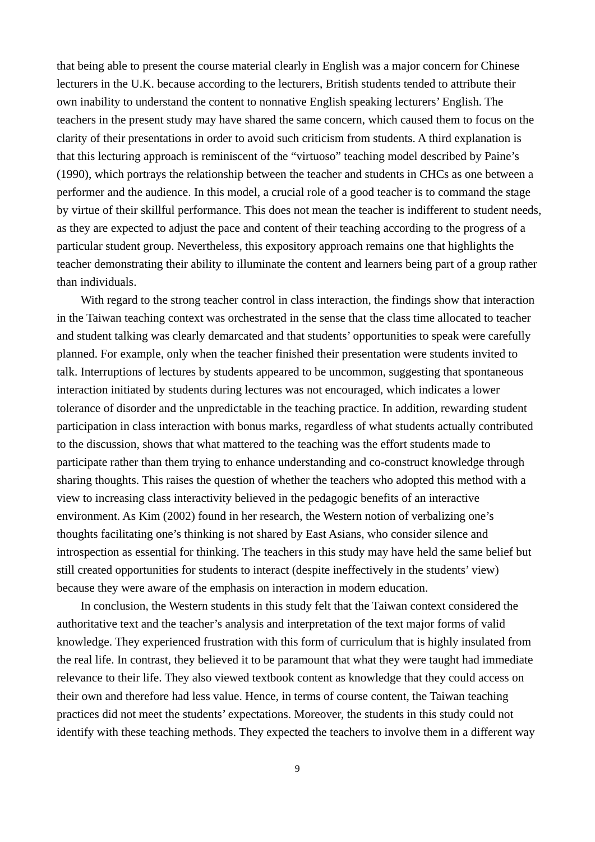that being able to present the course material clearly in English was a major concern for Chinese lecturers in the U.K. because according to the lecturers, British students tended to attribute their own inability to understand the content to nonnative English speaking lecturers' English. The teachers in the present study may have shared the same concern, which caused them to focus on the clarity of their presentations in order to avoid such criticism from students. A third explanation is that this lecturing approach is reminiscent of the "virtuoso" teaching model described by Paine's (1990), which portrays the relationship between the teacher and students in CHCs as one between a performer and the audience. In this model, a crucial role of a good teacher is to command the stage by virtue of their skillful performance. This does not mean the teacher is indifferent to student needs, as they are expected to adjust the pace and content of their teaching according to the progress of a particular student group. Nevertheless, this expository approach remains one that highlights the teacher demonstrating their ability to illuminate the content and learners being part of a group rather than individuals.

With regard to the strong teacher control in class interaction, the findings show that interaction in the Taiwan teaching context was orchestrated in the sense that the class time allocated to teacher and student talking was clearly demarcated and that students' opportunities to speak were carefully planned. For example, only when the teacher finished their presentation were students invited to talk. Interruptions of lectures by students appeared to be uncommon, suggesting that spontaneous interaction initiated by students during lectures was not encouraged, which indicates a lower tolerance of disorder and the unpredictable in the teaching practice. In addition, rewarding student participation in class interaction with bonus marks, regardless of what students actually contributed to the discussion, shows that what mattered to the teaching was the effort students made to participate rather than them trying to enhance understanding and co-construct knowledge through sharing thoughts. This raises the question of whether the teachers who adopted this method with a view to increasing class interactivity believed in the pedagogic benefits of an interactive environment. As Kim (2002) found in her research, the Western notion of verbalizing one's thoughts facilitating one's thinking is not shared by East Asians, who consider silence and introspection as essential for thinking. The teachers in this study may have held the same belief but still created opportunities for students to interact (despite ineffectively in the students' view) because they were aware of the emphasis on interaction in modern education.

In conclusion, the Western students in this study felt that the Taiwan context considered the authoritative text and the teacher's analysis and interpretation of the text major forms of valid knowledge. They experienced frustration with this form of curriculum that is highly insulated from the real life. In contrast, they believed it to be paramount that what they were taught had immediate relevance to their life. They also viewed textbook content as knowledge that they could access on their own and therefore had less value. Hence, in terms of course content, the Taiwan teaching practices did not meet the students' expectations. Moreover, the students in this study could not identify with these teaching methods. They expected the teachers to involve them in a different way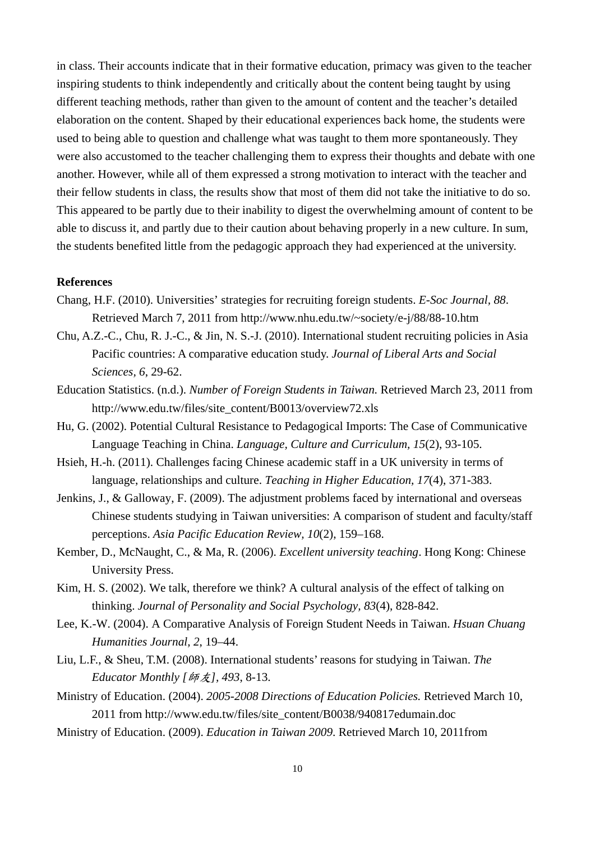in class. Their accounts indicate that in their formative education, primacy was given to the teacher inspiring students to think independently and critically about the content being taught by using different teaching methods, rather than given to the amount of content and the teacher's detailed elaboration on the content. Shaped by their educational experiences back home, the students were used to being able to question and challenge what was taught to them more spontaneously. They were also accustomed to the teacher challenging them to express their thoughts and debate with one another. However, while all of them expressed a strong motivation to interact with the teacher and their fellow students in class, the results show that most of them did not take the initiative to do so. This appeared to be partly due to their inability to digest the overwhelming amount of content to be able to discuss it, and partly due to their caution about behaving properly in a new culture. In sum, the students benefited little from the pedagogic approach they had experienced at the university.

#### **References**

- Chang, H.F. (2010). Universities' strategies for recruiting foreign students. *E-Soc Journal, 88*. Retrieved March 7, 2011 from http://www.nhu.edu.tw/~society/e-j/88/88-10.htm
- Chu, A.Z.-C., Chu, R. J.-C., & Jin, N. S.-J. (2010). International student recruiting policies in Asia Pacific countries: A comparative education study. *Journal of Liberal Arts and Social Sciences, 6*, 29-62.
- Education Statistics. (n.d.). *Number of Foreign Students in Taiwan.* Retrieved March 23, 2011 from http://www.edu.tw/files/site\_content/B0013/overview72.xls
- Hu, G. (2002). Potential Cultural Resistance to Pedagogical Imports: The Case of Communicative Language Teaching in China. *Language, Culture and Curriculum, 15*(2), 93-105.
- Hsieh, H.-h. (2011). Challenges facing Chinese academic staff in a UK university in terms of language, relationships and culture. *Teaching in Higher Education, 17*(4), 371-383.
- Jenkins, J., & Galloway, F. (2009). The adjustment problems faced by international and overseas Chinese students studying in Taiwan universities: A comparison of student and faculty/staff perceptions. *Asia Pacific Education Review, 10*(2), 159–168.
- Kember, D., McNaught, C., & Ma, R. (2006). *Excellent university teaching*. Hong Kong: Chinese University Press.
- Kim, H. S. (2002). We talk, therefore we think? A cultural analysis of the effect of talking on thinking. *Journal of Personality and Social Psychology, 83*(4), 828-842.
- Lee, K.-W. (2004). A Comparative Analysis of Foreign Student Needs in Taiwan. *Hsuan Chuang Humanities Journal, 2*, 19–44.
- Liu, L.F., & Sheu, T.M. (2008). International students' reasons for studying in Taiwan. *The Educator Monthly [*師友*], 493*, 8-13.
- Ministry of Education. (2004). *2005-2008 Directions of Education Policies.* Retrieved March 10, 2011 from http://www.edu.tw/files/site\_content/B0038/940817edumain.doc
- Ministry of Education. (2009). *Education in Taiwan 2009*. Retrieved March 10, 2011from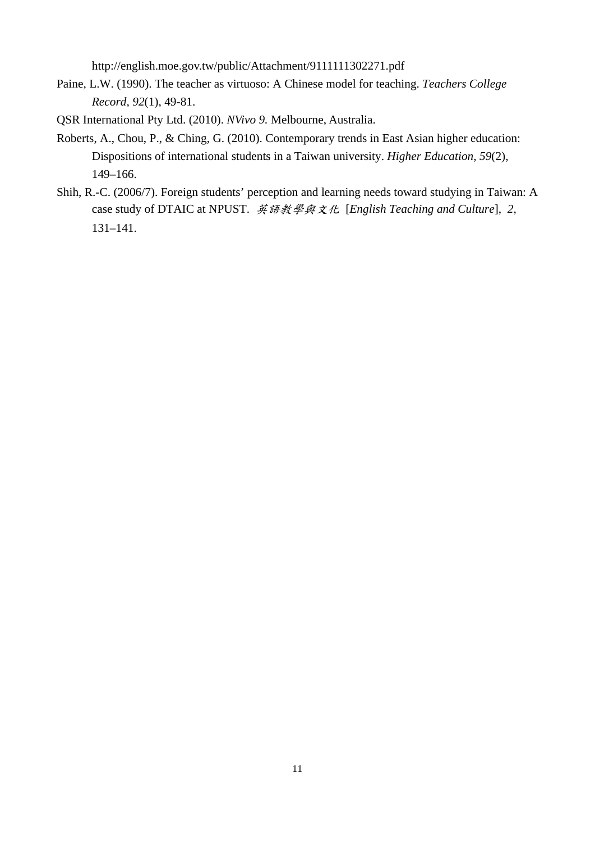http://english.moe.gov.tw/public/Attachment/9111111302271.pdf

- Paine, L.W. (1990). The teacher as virtuoso: A Chinese model for teaching. *Teachers College Record, 92*(1), 49-81.
- QSR International Pty Ltd. (2010). *NVivo 9.* Melbourne, Australia.
- Roberts, A., Chou, P., & Ching, G. (2010). Contemporary trends in East Asian higher education: Dispositions of international students in a Taiwan university. *Higher Education, 59*(2), 149–166.
- Shih, R.-C. (2006/7). Foreign students' perception and learning needs toward studying in Taiwan: A case study of DTAIC at NPUST. 英語教學與文化 [*English Teaching and Culture*], *2*, 131–141.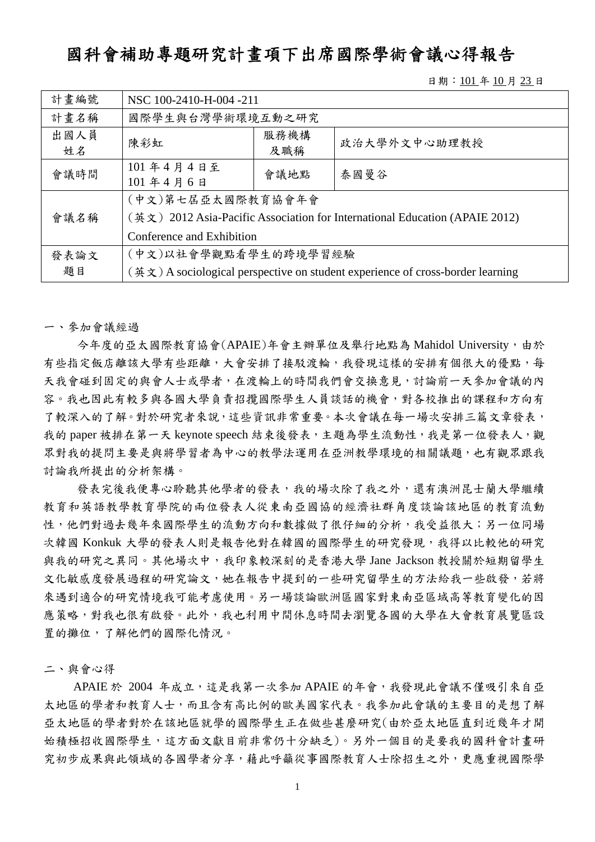## 國科會補助專題研究計畫項下出席國際學術會議心得報告

日期: 101年10月23日

| 計畫編號       | NSC 100-2410-H-004 -211                                                                                                       |             |              |  |
|------------|-------------------------------------------------------------------------------------------------------------------------------|-------------|--------------|--|
| 計畫名稱       | 國際學生與台灣學術環境互動之研究                                                                                                              |             |              |  |
| 出國人員<br>姓名 | 陳彩虹                                                                                                                           | 服務機構<br>及職稱 | 政治大學外文中心助理教授 |  |
| 會議時間       | 101年4月4日至<br>101年4月6日                                                                                                         | 會議地點        | 泰國曼谷         |  |
| 會議名稱       | (中文)第七屆亞太國際教育協會年會<br>(英文) 2012 Asia-Pacific Association for International Education (APAIE 2012)<br>Conference and Exhibition |             |              |  |
| 發表論文<br>題目 | (中文)以社會學觀點看學生的跨境學習經驗<br>$(\nexists \xi)$ A sociological perspective on student experience of cross-border learning            |             |              |  |

一、參加會議經過

今年度的亞太國際教育協會(APAIE)年會主辦單位及舉行地點為 Mahidol University,由於 有些指定飯店離該大學有些距離,大會安排了接駁渡輪,我發現這樣的安排有個很大的優點,每 天我會碰到固定的與會人士或學者,在渡輪上的時間我們會交換意見,討論前一天參加會議的內 容。我也因此有較多與各國大學負責招攬國際學生人員談話的機會,對各校推出的課程和方向有 了較深入的了解。對於研究者來說,這些資訊非常重要。本次會議在每一場次安排三篇文章發表, 我的 paper 被排在第一天 keynote speech 結束後發表,主題為學生流動性,我是第一位發表人,觀 眾對我的提問主要是與將學習者為中心的教學法運用在亞洲教學環境的相關議題,也有觀眾跟我 討論我所提出的分析架構。

發表完後我便專心聆聽其他學者的發表,我的場次除了我之外,還有澳洲昆士蘭大學繼續 教育和英語教學教育學院的兩位發表人從東南亞國協的經濟社群角度談論該地區的教育流動 性,他們對過去幾年來國際學生的流動方向和數據做了很仔細的分析,我受益很大;另一位同場 次韓國 Konkuk 大學的發表人則是報告他對在韓國的國際學生的研究發現,我得以比較他的研究 與我的研究之異同。其他場次中,我印象較深刻的是香港大學 Jane Jackson 教授關於短期留學生 文化敏感度發展過程的研究論文,她在報告中提到的一些研究留學生的方法給我一些啟發,若將 來遇到適合的研究情境我可能考慮使用。另一場談論歐洲區國家對東南亞區域高等教育變化的因 應策略,對我也很有啟發。此外,我也利用中間休息時間去瀏覽各國的大學在大會教育展覽區設 置的攤位,了解他們的國際化情況。

二、與會心得

APAIE 於 2004年成立,這是我第一次參加 APAIE 的年會,我發現此會議不僅吸引來自亞 太地區的學者和教育人士,而且含有高比例的歐美國家代表。我參加此會議的主要目的是想了解 亞太地區的學者對於在該地區就學的國際學生正在做些甚麼研究(由於亞太地區直到近幾年才開 始積極招收國際學生,這方面文獻目前非常仍十分缺乏)。另外一個目的是要我的國科會計畫研 究初步成果與此領域的各國學者分享,藉此呼籲從事國際教育人士除招生之外,更應重視國際學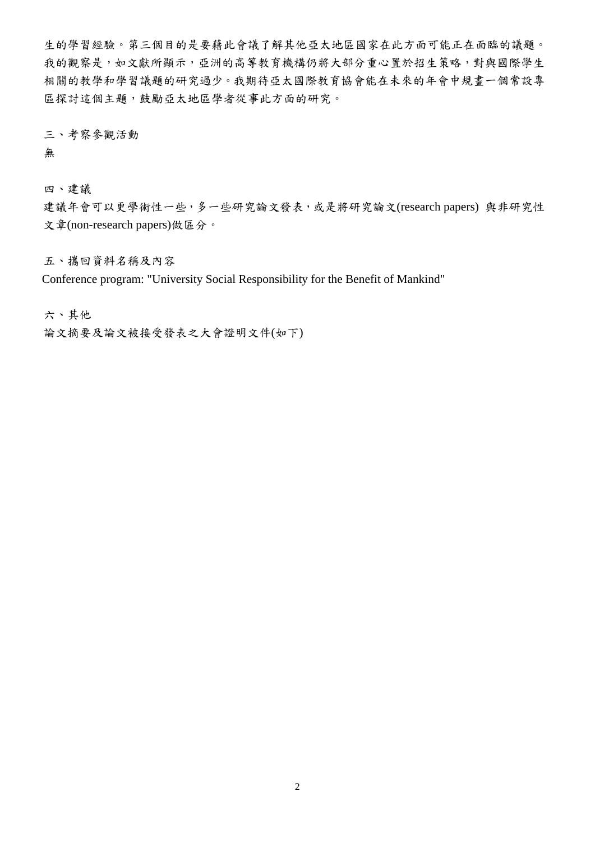生的學習經驗。第三個目的是要藉此會議了解其他亞太地區國家在此方面可能正在面臨的議題。 我的觀察是,如文獻所顯示,亞洲的高等教育機構仍將大部分重心置於招生策略,對與國際學生 相關的教學和學習議題的研究過少。我期待亞太國際教育協會能在未來的年會中規畫一個常設專 區探討這個主題,鼓勵亞太地區學者從事此方面的研究。

三、考察參觀活動

無

四、建議

建議年會可以更學術性一些,多一些研究論文發表,或是將研究論文(research papers) 與非研究性 文章(non-research papers)做區分。

五、攜回資料名稱及內容

Conference program: "University Social Responsibility for the Benefit of Mankind"

六、其他

論文摘要及論文被接受發表之大會證明文件(如下)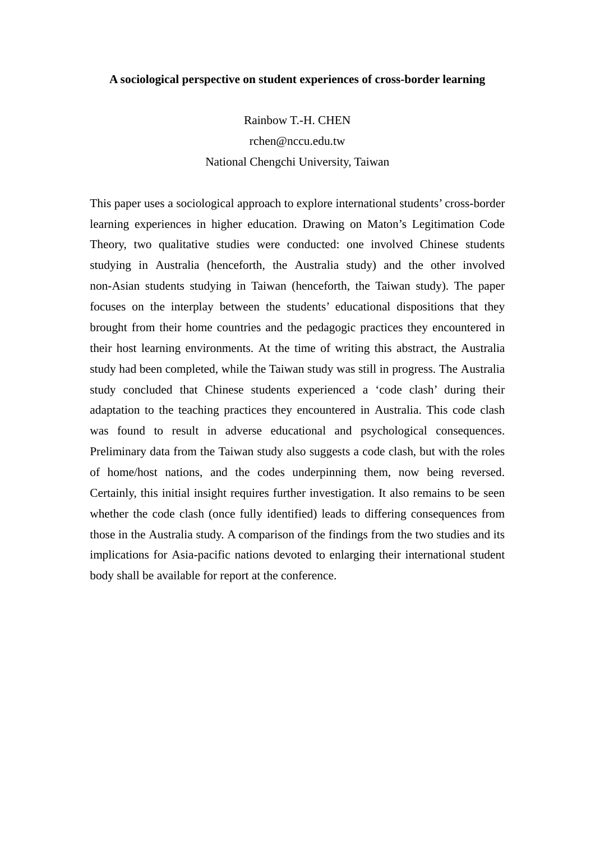#### **A sociological perspective on student experiences of cross-border learning**

Rainbow T.-H. CHEN

rchen@nccu.edu.tw National Chengchi University, Taiwan

This paper uses a sociological approach to explore international students' cross-border learning experiences in higher education. Drawing on Maton's Legitimation Code Theory, two qualitative studies were conducted: one involved Chinese students studying in Australia (henceforth, the Australia study) and the other involved non-Asian students studying in Taiwan (henceforth, the Taiwan study). The paper focuses on the interplay between the students' educational dispositions that they brought from their home countries and the pedagogic practices they encountered in their host learning environments. At the time of writing this abstract, the Australia study had been completed, while the Taiwan study was still in progress. The Australia study concluded that Chinese students experienced a 'code clash' during their adaptation to the teaching practices they encountered in Australia. This code clash was found to result in adverse educational and psychological consequences. Preliminary data from the Taiwan study also suggests a code clash, but with the roles of home/host nations, and the codes underpinning them, now being reversed. Certainly, this initial insight requires further investigation. It also remains to be seen whether the code clash (once fully identified) leads to differing consequences from those in the Australia study. A comparison of the findings from the two studies and its implications for Asia-pacific nations devoted to enlarging their international student body shall be available for report at the conference.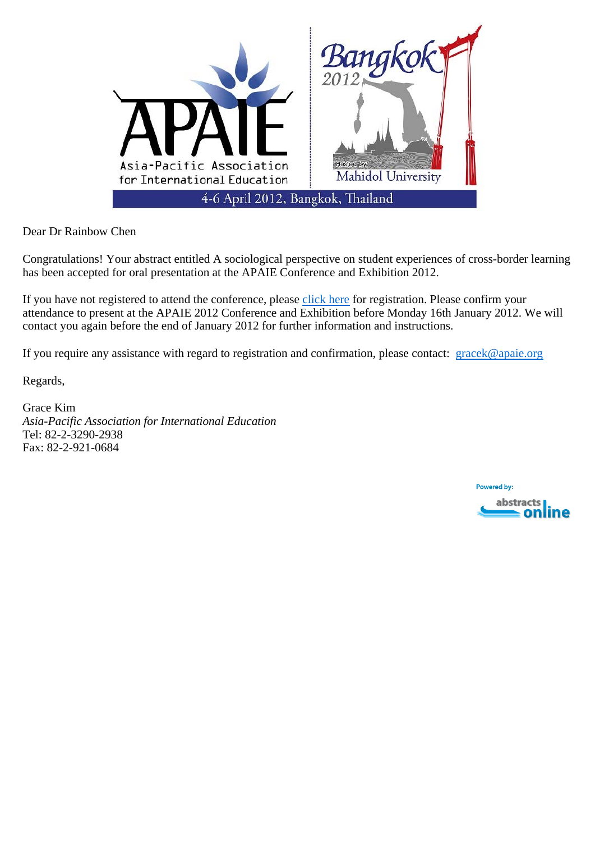

Dear Dr Rainbow Chen

Congratulations! Your abstract entitled A sociological perspective on student experiences of cross-border learning has been accepted for oral presentation at the APAIE Conference and Exhibition 2012.

If you have not registered to attend the conference, please click here for registration. Please confirm your attendance to present at the APAIE 2012 Conference and Exhibition before Monday 16th January 2012. We will contact you again before the end of January 2012 for further information and instructions.

If you require any assistance with regard to registration and confirmation, please contact: gracek@apaie.org

Regards,

Grace Kim *Asia-Pacific Association for International Education*  Tel: 82-2-3290-2938 Fax: 82-2-921-0684

> **Powered by:** abstracts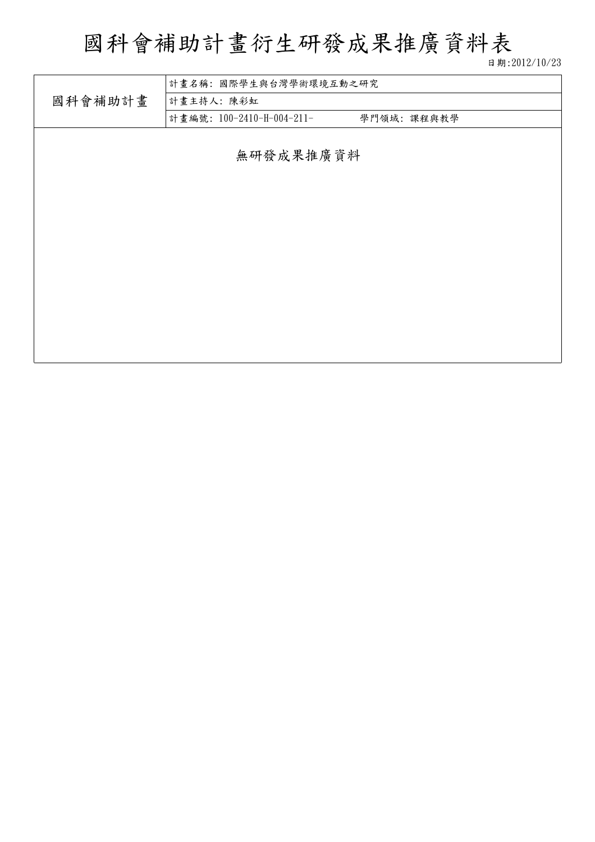# 國科會補助計畫衍生研發成果推廣資料表

日期:2012/10/23

|         | 計畫名稱:國際學生與台灣學術環境互動之研究     |            |  |  |  |
|---------|---------------------------|------------|--|--|--|
| 國科會補助計畫 | 計畫主持人:陳彩虹                 |            |  |  |  |
|         | 計畫編號: 100-2410-H-004-211- | 學門領域:課程與教學 |  |  |  |
|         |                           |            |  |  |  |
|         | 無研發成果推廣資料                 |            |  |  |  |
|         |                           |            |  |  |  |
|         |                           |            |  |  |  |
|         |                           |            |  |  |  |
|         |                           |            |  |  |  |
|         |                           |            |  |  |  |
|         |                           |            |  |  |  |
|         |                           |            |  |  |  |
|         |                           |            |  |  |  |
|         |                           |            |  |  |  |
|         |                           |            |  |  |  |
|         |                           |            |  |  |  |
|         |                           |            |  |  |  |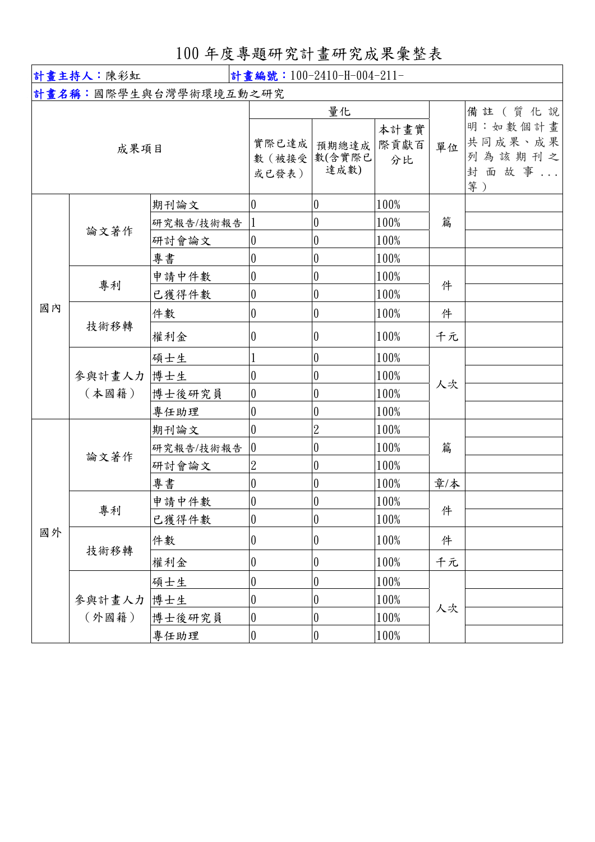100 年度專題研究計畫研究成果彙整表

| 計畫主持人:陳彩虹<br>計畫編號: 100-2410-H-004-211- |                 |                                  |                                                                |                                                                            |                              |                                                      |  |
|----------------------------------------|-----------------|----------------------------------|----------------------------------------------------------------|----------------------------------------------------------------------------|------------------------------|------------------------------------------------------|--|
|                                        |                 | 計畫名稱:國際學生與台灣學術環境互動之研究            |                                                                |                                                                            |                              |                                                      |  |
| 成果項目                                   |                 | 實際已達成<br>數 (被接受<br>或已發表)         | 量化<br>預期總達成<br>數(含實際已<br>達成數)                                  | 本計畫實<br>際貢獻百<br>分比                                                         | 單位                           | 備註(質化說<br>明:如數個計畫<br>共同成果、成果<br>列為該期刊之<br>封面故事<br>等) |  |
|                                        | 論文著作            | 期刊論文<br>研究報告/技術報告                | $\boldsymbol{0}$                                               | $\boldsymbol{0}$<br>$\boldsymbol{0}$                                       | 100%<br>100%                 | 篇                                                    |  |
|                                        |                 | 研討會論文                            | $\boldsymbol{0}$                                               | $\boldsymbol{0}$                                                           | 100%                         |                                                      |  |
|                                        |                 | 專書                               | $\boldsymbol{0}$                                               | $\boldsymbol{0}$                                                           | 100%                         |                                                      |  |
| 國內                                     | 專利              | 申請中件數<br>已獲得件數                   | $\overline{0}$<br>$\boldsymbol{0}$                             | $\boldsymbol{0}$<br>$\boldsymbol{0}$                                       | 100%<br>100%                 | 件                                                    |  |
|                                        |                 | 件數                               | $\boldsymbol{0}$                                               | $\boldsymbol{0}$                                                           | 100%                         | 件                                                    |  |
|                                        | 技術移轉            | 權利金                              | $\boldsymbol{0}$                                               | $\overline{0}$                                                             | 100%                         | 千元                                                   |  |
|                                        | 參與計畫人力<br>(本國籍) | 碩士生<br>博士生<br>博士後研究員<br>專任助理     | $\mathbf{1}$<br>$\overline{0}$<br>$\boldsymbol{0}$<br>$\theta$ | $\overline{0}$<br>$\boldsymbol{0}$<br>$\boldsymbol{0}$<br>$\boldsymbol{0}$ | 100%<br>100%<br>100%<br>100% | 人次                                                   |  |
| 國外                                     | 論文著作            | 期刊論文<br>研究報告/技術報告<br>研討會論文<br>專書 | $\overline{0}$<br>$\overline{0}$<br>$\overline{2}$<br>$\theta$ | $\overline{2}$<br>$\boldsymbol{0}$<br>$\boldsymbol{0}$<br>$\boldsymbol{0}$ | 100%<br>100%<br>100%<br>100% | 篇<br>章/本                                             |  |
|                                        | 專利              | 申請中件數<br>已獲得件數                   | $\boldsymbol{0}$<br>$\boldsymbol{0}$                           | $\boldsymbol{0}$<br>$\vert 0 \vert$                                        | 100%<br>100%                 | 件                                                    |  |
|                                        | 技術移轉            | 件數                               | $\boldsymbol{0}$                                               | $\pmb{0}$                                                                  | 100%                         | 件                                                    |  |
|                                        |                 | 權利金                              | $\boldsymbol{0}$                                               | 0                                                                          | 100%                         | 千元                                                   |  |
|                                        | 參與計畫人力<br>(外國籍) | 碩士生<br>博士生<br>博士後研究員             | $\boldsymbol{0}$<br>0<br>$\boldsymbol{0}$                      | $\boldsymbol{0}$<br>$\boldsymbol{0}$<br>$\boldsymbol{0}$                   | 100%<br>100%<br>100%         | 人次                                                   |  |
|                                        |                 | 專任助理                             | $\boldsymbol{0}$                                               | $\boldsymbol{0}$                                                           | 100%                         |                                                      |  |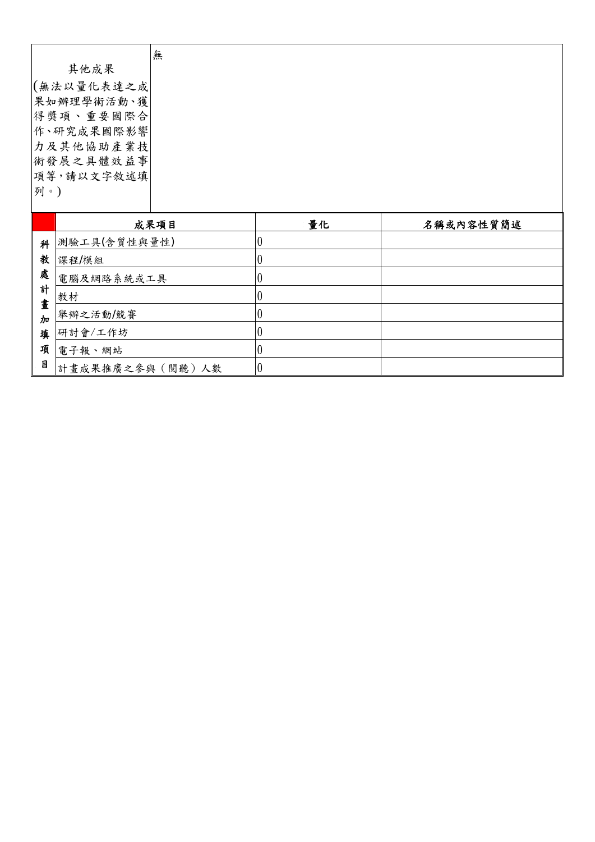|            | 無       |    |           |
|------------|---------|----|-----------|
| 其他成果       |         |    |           |
| (無法以量化表達之成 |         |    |           |
| 果如辦理學術活動、獲 |         |    |           |
| 得獎項、重要國際合  |         |    |           |
| 作、研究成果國際影響 |         |    |           |
| 力及其他協助產業技  |         |    |           |
| 術發展之具體效益事  |         |    |           |
| 項等,請以文字敘述填 |         |    |           |
| 列。)        |         |    |           |
|            |         |    |           |
|            | よ 里 石 口 | 县ル | 々攻まわ穴は筋結ま |

|        | 成果項目            | 量化 | 名稱或內容性質簡述 |
|--------|-----------------|----|-----------|
| 科      | 測驗工具(含質性與量性)    |    |           |
| 教      | 課程/模組           |    |           |
| 處      | 電腦及網路系統或工具      |    |           |
| 計      | 教材              |    |           |
| 晝<br>加 | 舉辦之活動/競賽        |    |           |
| 填      | 研討會/工作坊         |    |           |
| 項      | 電子報、網站          |    |           |
| 目      | 計畫成果推廣之參與(閱聽)人數 |    |           |